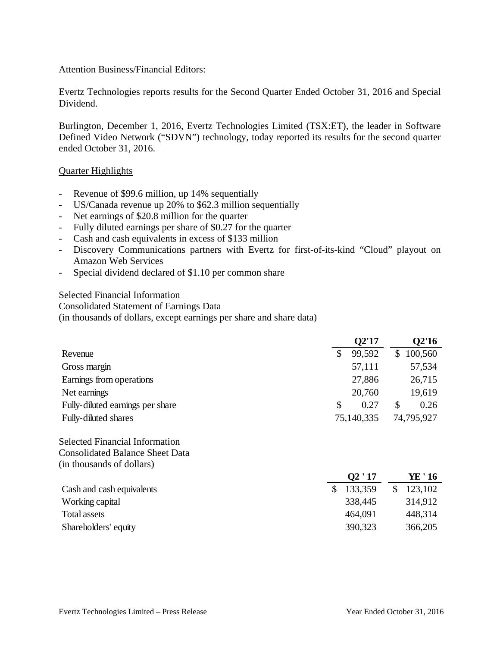#### Attention Business/Financial Editors:

Evertz Technologies reports results for the Second Quarter Ended October 31, 2016 and Special Dividend.

Burlington, December 1, 2016, Evertz Technologies Limited (TSX:ET), the leader in Software Defined Video Network ("SDVN") technology, today reported its results for the second quarter ended October 31, 2016.

#### Quarter Highlights

- Revenue of \$99.6 million, up 14% sequentially
- US/Canada revenue up 20% to \$62.3 million sequentially
- Net earnings of \$20.8 million for the quarter
- Fully diluted earnings per share of \$0.27 for the quarter
- Cash and cash equivalents in excess of \$133 million
- Discovery Communications partners with Evertz for first-of-its-kind "Cloud" playout on Amazon Web Services
- Special dividend declared of \$1.10 per common share

#### Selected Financial Information

Consolidated Statement of Earnings Data

(in thousands of dollars, except earnings per share and share data)

|                                  |   | Q2'17      |    | Q2'16      |
|----------------------------------|---|------------|----|------------|
| Revenue                          |   | 99,592     | S. | 100,560    |
| Gross margin                     |   | 57,111     |    | 57,534     |
| Earnings from operations         |   | 27,886     |    | 26,715     |
| Net earnings                     |   | 20,760     |    | 19,619     |
| Fully-diluted earnings per share | S | 0.27       | \$ | 0.26       |
| <b>Fully-diluted shares</b>      |   | 75,140,335 |    | 74,795,927 |

#### Selected Financial Information Consolidated Balance Sheet Data (in thousands of dollars)

|                           | Q2'17   | YE ' 16 |
|---------------------------|---------|---------|
| Cash and cash equivalents | 133,359 | 123,102 |
| Working capital           | 338,445 | 314,912 |
| Total assets              | 464,091 | 448,314 |
| Shareholders' equity      | 390,323 | 366,205 |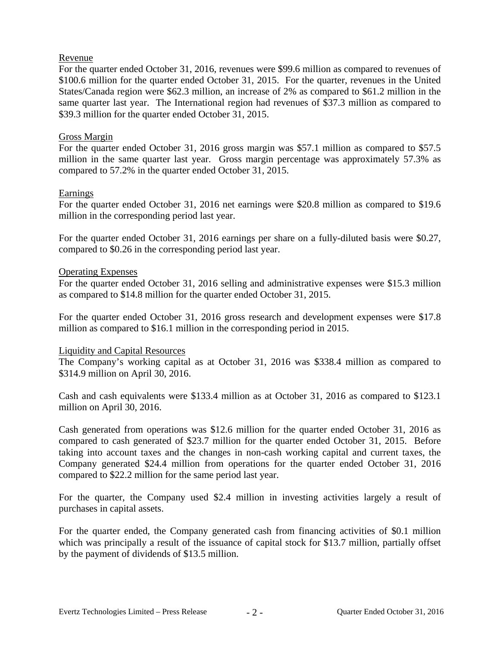## Revenue

For the quarter ended October 31, 2016, revenues were \$99.6 million as compared to revenues of \$100.6 million for the quarter ended October 31, 2015. For the quarter, revenues in the United States/Canada region were \$62.3 million, an increase of 2% as compared to \$61.2 million in the same quarter last year. The International region had revenues of \$37.3 million as compared to \$39.3 million for the quarter ended October 31, 2015.

### Gross Margin

For the quarter ended October 31, 2016 gross margin was \$57.1 million as compared to \$57.5 million in the same quarter last year. Gross margin percentage was approximately 57.3% as compared to 57.2% in the quarter ended October 31, 2015.

#### Earnings

For the quarter ended October 31, 2016 net earnings were \$20.8 million as compared to \$19.6 million in the corresponding period last year.

For the quarter ended October 31, 2016 earnings per share on a fully-diluted basis were \$0.27, compared to \$0.26 in the corresponding period last year.

#### Operating Expenses

For the quarter ended October 31, 2016 selling and administrative expenses were \$15.3 million as compared to \$14.8 million for the quarter ended October 31, 2015.

For the quarter ended October 31, 2016 gross research and development expenses were \$17.8 million as compared to \$16.1 million in the corresponding period in 2015.

#### Liquidity and Capital Resources

The Company's working capital as at October 31, 2016 was \$338.4 million as compared to \$314.9 million on April 30, 2016.

Cash and cash equivalents were \$133.4 million as at October 31, 2016 as compared to \$123.1 million on April 30, 2016.

Cash generated from operations was \$12.6 million for the quarter ended October 31, 2016 as compared to cash generated of \$23.7 million for the quarter ended October 31, 2015. Before taking into account taxes and the changes in non-cash working capital and current taxes, the Company generated \$24.4 million from operations for the quarter ended October 31, 2016 compared to \$22.2 million for the same period last year.

For the quarter, the Company used \$2.4 million in investing activities largely a result of purchases in capital assets.

For the quarter ended, the Company generated cash from financing activities of \$0.1 million which was principally a result of the issuance of capital stock for \$13.7 million, partially offset by the payment of dividends of \$13.5 million.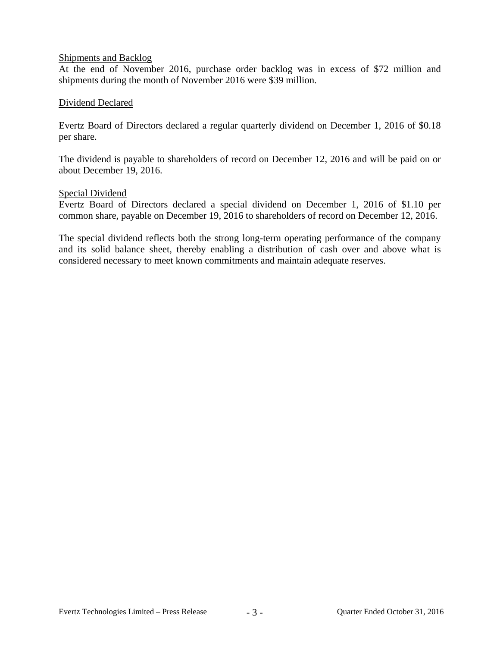#### Shipments and Backlog

At the end of November 2016, purchase order backlog was in excess of \$72 million and shipments during the month of November 2016 were \$39 million.

#### Dividend Declared

Evertz Board of Directors declared a regular quarterly dividend on December 1, 2016 of \$0.18 per share.

The dividend is payable to shareholders of record on December 12, 2016 and will be paid on or about December 19, 2016.

#### Special Dividend

Evertz Board of Directors declared a special dividend on December 1, 2016 of \$1.10 per common share, payable on December 19, 2016 to shareholders of record on December 12, 2016.

The special dividend reflects both the strong long-term operating performance of the company and its solid balance sheet, thereby enabling a distribution of cash over and above what is considered necessary to meet known commitments and maintain adequate reserves.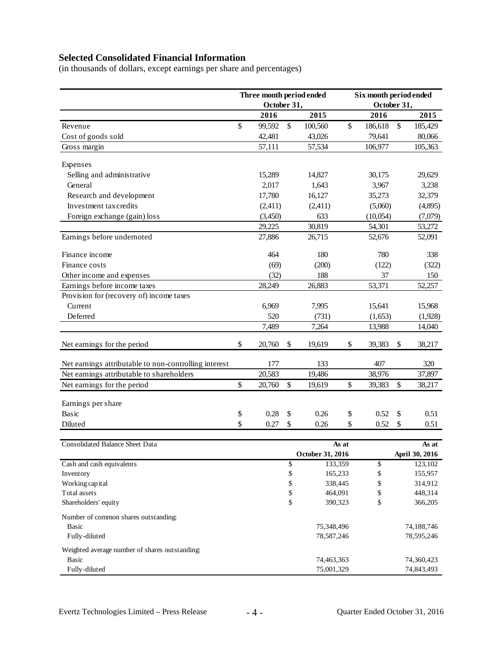# **Selected Consolidated Financial Information**

(in thousands of dollars, except earnings per share and percentages)

|                                                       | Three month period ended |                  |                                   | Six month period ended |             |                  |    |                  |
|-------------------------------------------------------|--------------------------|------------------|-----------------------------------|------------------------|-------------|------------------|----|------------------|
|                                                       |                          | October 31,      |                                   |                        | October 31, |                  |    |                  |
|                                                       |                          | 2016             |                                   | 2015                   |             | 2016             |    | 2015             |
| Revenue                                               | \$                       | 99,592           | \$                                | 100,560                | \$          | 186,618          | \$ | 185,429          |
| Cost of goods sold                                    |                          | 42,481           |                                   | 43,026                 |             | 79,641           |    | 80,066           |
| Gross margin                                          |                          | 57,111           |                                   | 57,534                 |             | 106,977          |    | 105,363          |
|                                                       |                          |                  |                                   |                        |             |                  |    |                  |
| Expenses                                              |                          |                  |                                   |                        |             |                  |    |                  |
| Selling and administrative<br>General                 |                          | 15,289<br>2,017  |                                   | 14,827<br>1,643        |             | 30,175<br>3,967  |    | 29,629<br>3,238  |
|                                                       |                          |                  |                                   | 16,127                 |             |                  |    |                  |
| Research and development<br>Investment tax credits    |                          | 17,780           |                                   |                        |             | 35,273           |    | 32,379           |
|                                                       |                          | (2,411)          |                                   | (2,411)                |             | (5,060)          |    | (4,895)          |
| Foreign exchange (gain) loss                          |                          | (3,450)          |                                   | 633                    |             | (10,054)         |    | (7,079)          |
| Earnings before undernoted                            |                          | 29,225<br>27,886 |                                   | 30,819<br>26,715       |             | 54,301<br>52,676 |    | 53,272<br>52,091 |
|                                                       |                          |                  |                                   |                        |             |                  |    |                  |
| Finance income                                        |                          | 464              |                                   | 180                    |             | 780              |    | 338              |
| Finance costs                                         |                          | (69)             |                                   | (200)                  |             | (122)            |    | (322)            |
| Other income and expenses                             |                          | (32)             |                                   | 188                    |             | 37               |    | 150              |
| Earnings before income taxes                          |                          | 28,249           |                                   | 26,883                 |             | 53,371           |    | 52,257           |
| Provision for (recovery of) income taxes              |                          |                  |                                   |                        |             |                  |    |                  |
| Current                                               |                          | 6,969            |                                   | 7,995                  |             | 15,641           |    | 15,968           |
| Deferred                                              |                          | 520              |                                   | (731)                  |             | (1,653)          |    | (1,928)          |
|                                                       |                          | 7,489            |                                   | 7,264                  |             | 13,988           |    | 14,040           |
| Net earnings for the period                           | \$                       | 20,760           | \$                                | 19,619                 | \$          | 39,383           | \$ | 38,217           |
| Net earnings attributable to non-controlling interest |                          | 177              |                                   | 133                    |             | 407              |    | 320              |
| Net earnings attributable to shareholders             |                          | 20,583           |                                   | 19,486                 |             | 38,976           |    | 37,897           |
| Net earnings for the period                           | \$                       | 20,760           | $\mathsf{\$}$                     | 19,619                 | \$          | 39,383           | \$ | 38,217           |
|                                                       |                          |                  |                                   |                        |             |                  |    |                  |
| Earnings per share                                    |                          |                  |                                   |                        |             |                  |    |                  |
| Basic                                                 | \$                       | 0.28             | \$                                | 0.26                   | \$          | 0.52             | \$ | 0.51             |
| Diluted                                               | \$                       | 0.27             | \$                                | 0.26                   | \$          | 0.52             | \$ | 0.51             |
| Consolidated Balance Sheet Data                       |                          |                  |                                   |                        |             |                  |    | As at            |
|                                                       |                          |                  |                                   | October 31, 2016       | As at       |                  |    | April 30, 2016   |
| Cash and cash equivalents                             |                          |                  | \$                                | 133,359                |             | \$               |    | 123,102          |
| Inventory                                             |                          |                  | $\mathbb{S}% _{t}\left( t\right)$ | 165,233                |             | \$               |    | 155,957          |
| Working capital                                       |                          |                  | $\mathbb{S}% _{t}\left( t\right)$ | 338,445                |             | \$               |    | 314,912          |
| Total assets                                          |                          |                  | $\mathbb{S}% _{t}\left( t\right)$ | 464,091                |             | \$               |    | 448,314          |
| Shareholders' equity                                  |                          |                  | \$                                | 390,323                |             | \$               |    | 366,205          |
| Number of common shares outstanding:                  |                          |                  |                                   |                        |             |                  |    |                  |
| Basic                                                 |                          |                  |                                   | 75,348,496             |             |                  |    | 74,188,746       |
| Fully-diluted                                         |                          |                  |                                   | 78,587,246             |             |                  |    | 78,595,246       |
| Weighted average number of shares outstanding:        |                          |                  |                                   |                        |             |                  |    |                  |
| <b>Basic</b>                                          |                          |                  |                                   | 74,463,363             |             |                  |    | 74,360,423       |
| Fully-diluted                                         |                          |                  |                                   | 75,001,329             |             |                  |    | 74,843,493       |